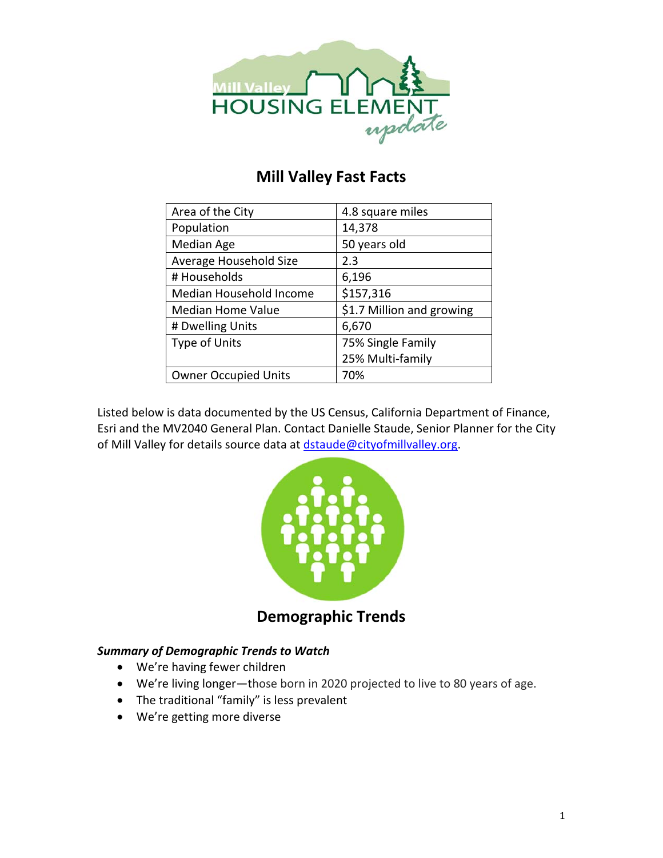

# **Mill Valley Fast Facts**

| Area of the City            | 4.8 square miles          |
|-----------------------------|---------------------------|
| Population                  | 14,378                    |
| Median Age                  | 50 years old              |
| Average Household Size      | 2.3                       |
| # Households                | 6,196                     |
| Median Household Income     | \$157,316                 |
| <b>Median Home Value</b>    | \$1.7 Million and growing |
| # Dwelling Units            | 6,670                     |
| <b>Type of Units</b>        | 75% Single Family         |
|                             | 25% Multi-family          |
| <b>Owner Occupied Units</b> | 70%                       |

Listed below is data documented by the US Census, California Department of Finance, Esri and the MV2040 General Plan. Contact Danielle Staude, Senior Planner for the City of Mill Valley for details source data at dstaude@cityofmillvalley.org.



**Demographic Trends**

## *Summary of Demographic Trends to Watch*

- We're having fewer children
- We're living longer—those born in 2020 projected to live to 80 years of age.
- The traditional "family" is less prevalent
- We're getting more diverse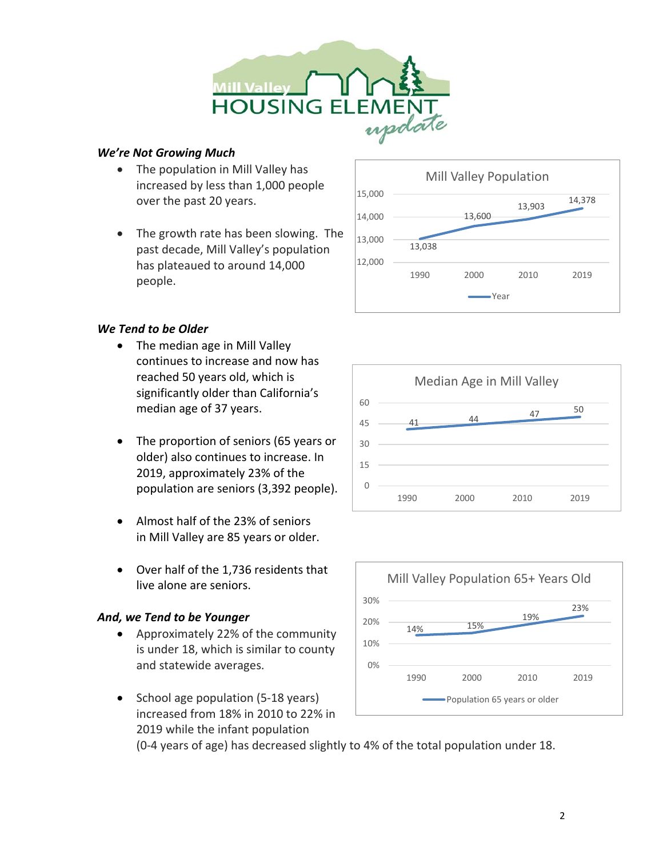

### *We're Not Growing Much*

- The population in Mill Valley has increased by less than 1,000 people over the past 20 years.
- The growth rate has been slowing. The past decade, Mill Valley's population has plateaued to around 14,000 people.



## *We Tend to be Older*

- The median age in Mill Valley continues to increase and now has reached 50 years old, which is significantly older than California's median age of 37 years.
- The proportion of seniors (65 years or older) also continues to increase. In 2019, approximately 23% of the population are seniors (3,392 people).
- Almost half of the 23% of seniors in Mill Valley are 85 years or older.
- Over half of the 1,736 residents that live alone are seniors.

## *And, we Tend to be Younger*

- Approximately 22% of the community is under 18, which is similar to county and statewide averages.
- School age population (5-18 years) increased from 18% in 2010 to 22% in 2019 while the infant population

41 44 47 50  $\Omega$ 15 30 45 60 1990 2000 2010 2019 Median Age in Mill Valley



(0‐4 years of age) has decreased slightly to 4% of the total population under 18.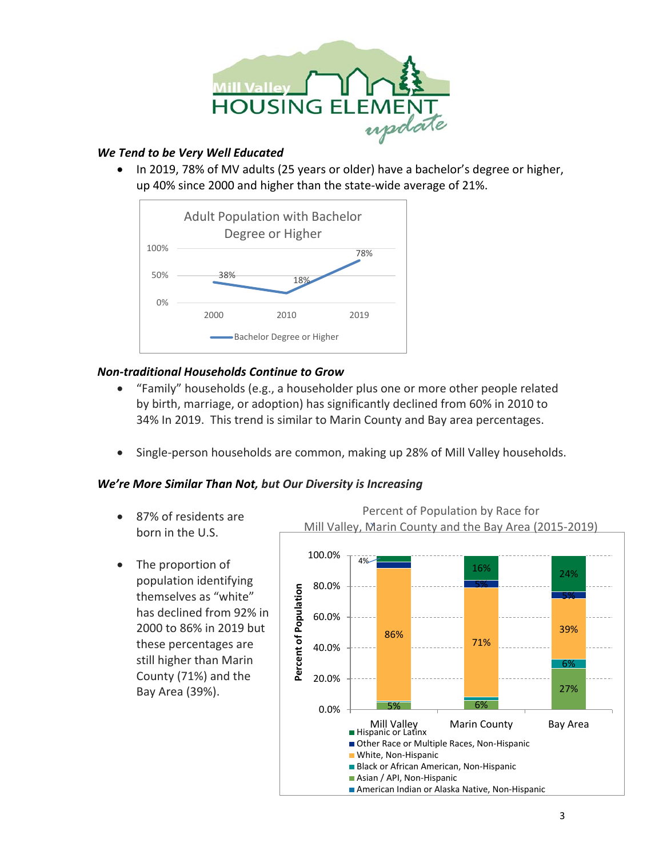

### *We Tend to be Very Well Educated*

• In 2019, 78% of MV adults (25 years or older) have a bachelor's degree or higher, up 40% since 2000 and higher than the state‐wide average of 21%.



## *Non‐traditional Households Continue to Grow*

- "Family" households (e.g., a householder plus one or more other people related by birth, marriage, or adoption) has significantly declined from 60% in 2010 to 34% In 2019. This trend is similar to Marin County and Bay area percentages.
- Single‐person households are common, making up 28% of Mill Valley households.

### *We're More Similar Than Not, but Our Diversity is Increasing*

- 87% of residents are born in the U.S.
- The proportion of population identifying themselves as "white" has declined from 92% in 2000 to 86% in 2019 but these percentages are still higher than Marin County (71%) and the Bay Area (39%).

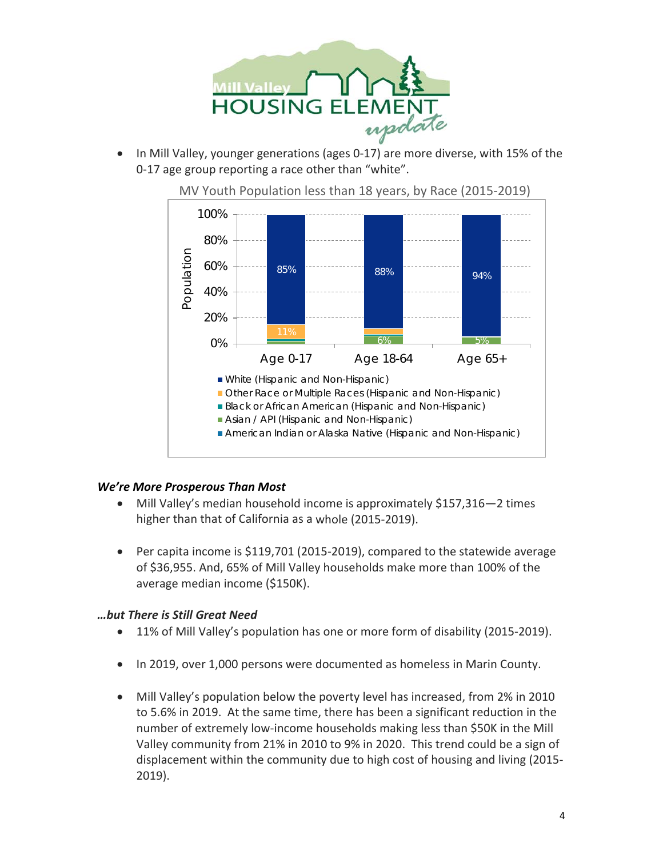

• In Mill Valley, younger generations (ages 0‐17) are more diverse, with 15% of the 0‐17 age group reporting a race other than "white".



MV Youth Population less than 18 years, by Race (2015‐2019)

#### *We're More Prosperous Than Most*

- Mill Valley's median household income is approximately \$157,316–2 times higher than that of California as a whole (2015‐2019).
- Per capita income is \$119,701 (2015-2019), compared to the statewide average of \$36,955. And, 65% of Mill Valley households make more than 100% of the average median income (\$150K).

### *…but There is Still Great Need*

- 11% of Mill Valley's population has one or more form of disability (2015-2019).
- In 2019, over 1,000 persons were documented as homeless in Marin County.
- Mill Valley's population below the poverty level has increased, from 2% in 2010 to 5.6% in 2019. At the same time, there has been a significant reduction in the number of extremely low‐income households making less than \$50K in the Mill Valley community from 21% in 2010 to 9% in 2020. This trend could be a sign of displacement within the community due to high cost of housing and living (2015‐ 2019).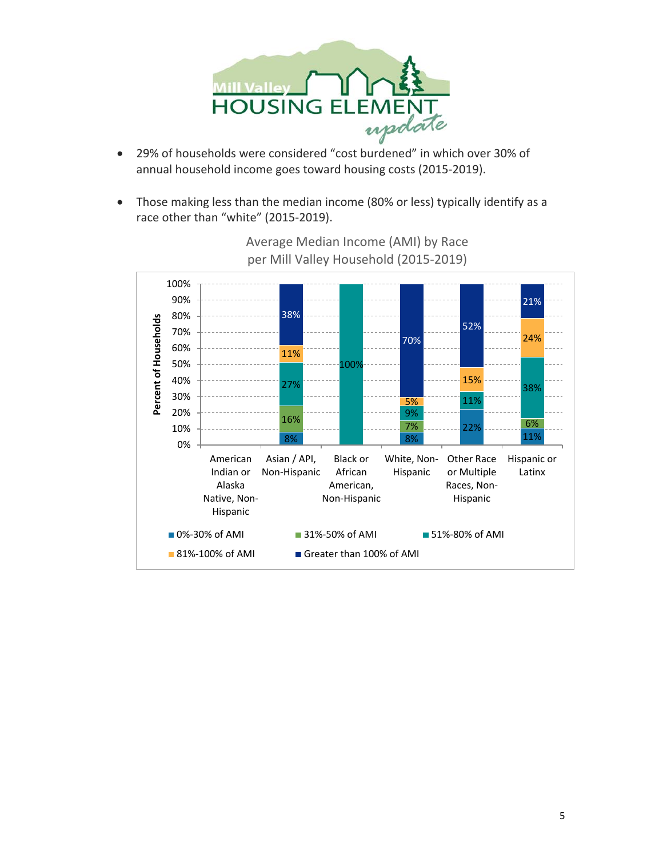

- annual household income goes toward housing costs (2015‐2019).
- Those making less than the median income (80% or less) typically identify as a race other than "white" (2015‐2019).



Average Median Income (AMI) by Race per Mill Valley Household (2015‐2019)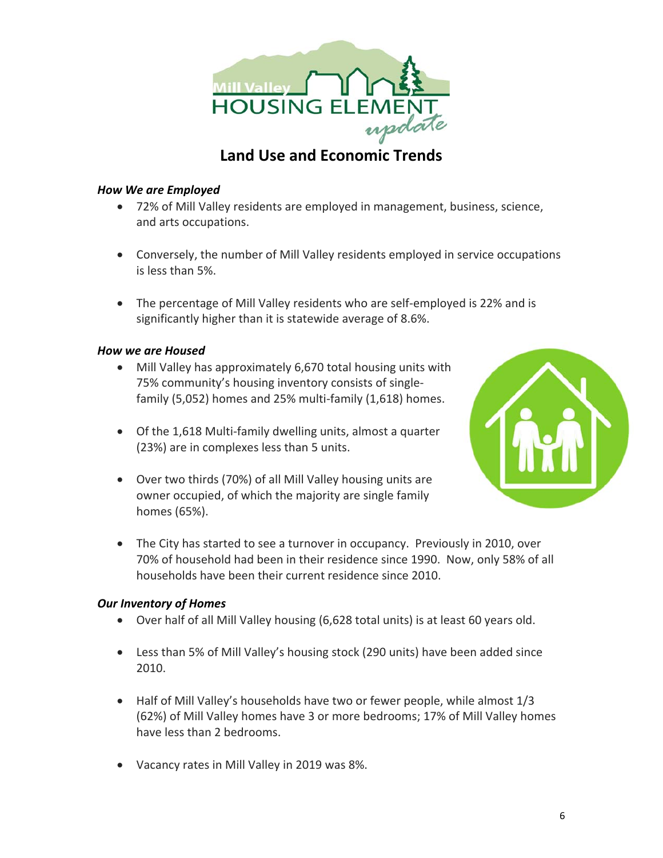

# **Land Use and Economic Trends**

### *How We are Employed*

- 72% of Mill Valley residents are employed in management, business, science, and arts occupations.
- Conversely, the number of Mill Valley residents employed in service occupations is less than 5%.
- The percentage of Mill Valley residents who are self‐employed is 22% and is significantly higher than it is statewide average of 8.6%.

### *How we are Housed*

- Mill Valley has approximately 6,670 total housing units with 75% community's housing inventory consists of single‐ family (5,052) homes and 25% multi‐family (1,618) homes.
- Of the 1,618 Multi‐family dwelling units, almost a quarter (23%) are in complexes less than 5 units.
- Over two thirds (70%) of all Mill Valley housing units are owner occupied, of which the majority are single family homes (65%).



• The City has started to see a turnover in occupancy. Previously in 2010, over 70% of household had been in their residence since 1990. Now, only 58% of all households have been their current residence since 2010.

#### *Our Inventory of Homes*

- Over half of all Mill Valley housing (6,628 total units) is at least 60 years old.
- Less than 5% of Mill Valley's housing stock (290 units) have been added since 2010.
- Half of Mill Valley's households have two or fewer people, while almost 1/3 (62%) of Mill Valley homes have 3 or more bedrooms; 17% of Mill Valley homes have less than 2 bedrooms.
- Vacancy rates in Mill Valley in 2019 was 8%.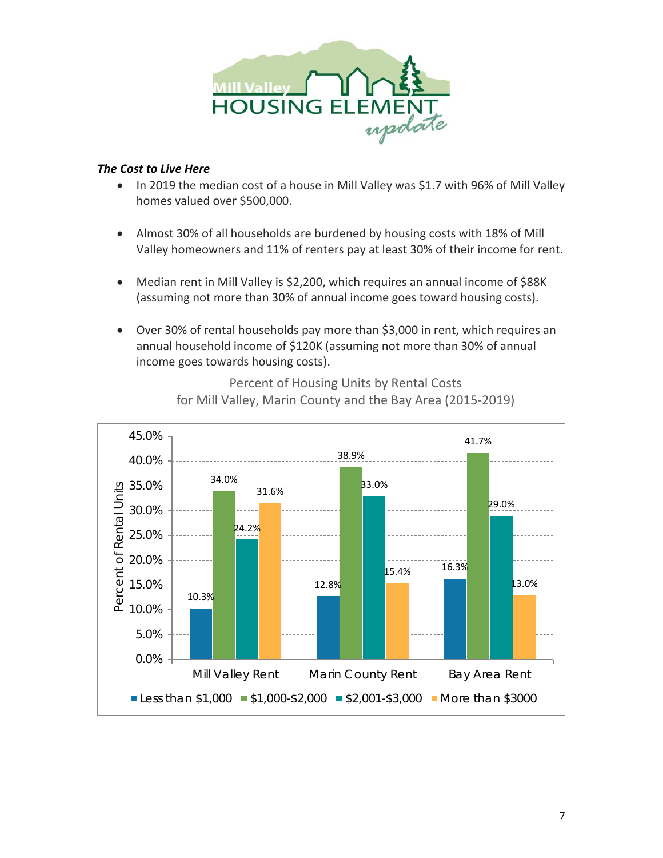

#### *The Cost to Live Here*

- In 2019 the median cost of a house in Mill Valley was \$1.7 with 96% of Mill Valley homes valued over \$500,000.
- Almost 30% of all households are burdened by housing costs with 18% of Mill Valley homeowners and 11% of renters pay at least 30% of their income for rent.
- Median rent in Mill Valley is \$2,200, which requires an annual income of \$88K (assuming not more than 30% of annual income goes toward housing costs).
- Over 30% of rental households pay more than \$3,000 in rent, which requires an annual household income of \$120K (assuming not more than 30% of annual income goes towards housing costs).



Percent of Housing Units by Rental Costs for Mill Valley, Marin County and the Bay Area (2015‐2019)